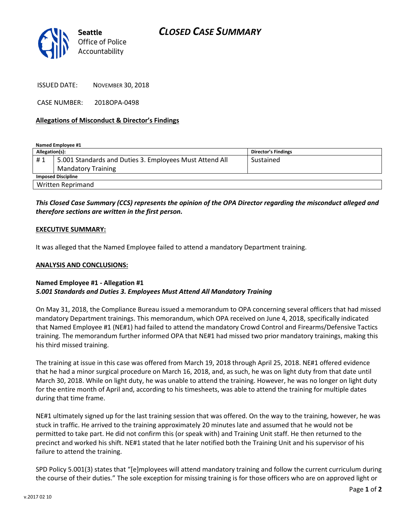

ISSUED DATE: NOVEMBER 30, 2018

CASE NUMBER: 2018OPA-0498

#### **Allegations of Misconduct & Director's Findings**

**Named Employee #1**

| Allegation(s):            |                                                         | Director's Findings |
|---------------------------|---------------------------------------------------------|---------------------|
| #1                        | 5.001 Standards and Duties 3. Employees Must Attend All | Sustained           |
|                           | <b>Mandatory Training</b>                               |                     |
| <b>Imposed Discipline</b> |                                                         |                     |
| <b>Written Reprimand</b>  |                                                         |                     |

## *This Closed Case Summary (CCS) represents the opinion of the OPA Director regarding the misconduct alleged and therefore sections are written in the first person.*

#### **EXECUTIVE SUMMARY:**

It was alleged that the Named Employee failed to attend a mandatory Department training.

#### **ANALYSIS AND CONCLUSIONS:**

### **Named Employee #1 - Allegation #1** *5.001 Standards and Duties 3. Employees Must Attend All Mandatory Training*

On May 31, 2018, the Compliance Bureau issued a memorandum to OPA concerning several officers that had missed mandatory Department trainings. This memorandum, which OPA received on June 4, 2018, specifically indicated that Named Employee #1 (NE#1) had failed to attend the mandatory Crowd Control and Firearms/Defensive Tactics training. The memorandum further informed OPA that NE#1 had missed two prior mandatory trainings, making this his third missed training.

The training at issue in this case was offered from March 19, 2018 through April 25, 2018. NE#1 offered evidence that he had a minor surgical procedure on March 16, 2018, and, as such, he was on light duty from that date until March 30, 2018. While on light duty, he was unable to attend the training. However, he was no longer on light duty for the entire month of April and, according to his timesheets, was able to attend the training for multiple dates during that time frame.

NE#1 ultimately signed up for the last training session that was offered. On the way to the training, however, he was stuck in traffic. He arrived to the training approximately 20 minutes late and assumed that he would not be permitted to take part. He did not confirm this (or speak with) and Training Unit staff. He then returned to the precinct and worked his shift. NE#1 stated that he later notified both the Training Unit and his supervisor of his failure to attend the training.

SPD Policy 5.001(3) states that "[e]mployees will attend mandatory training and follow the current curriculum during the course of their duties." The sole exception for missing training is for those officers who are on approved light or